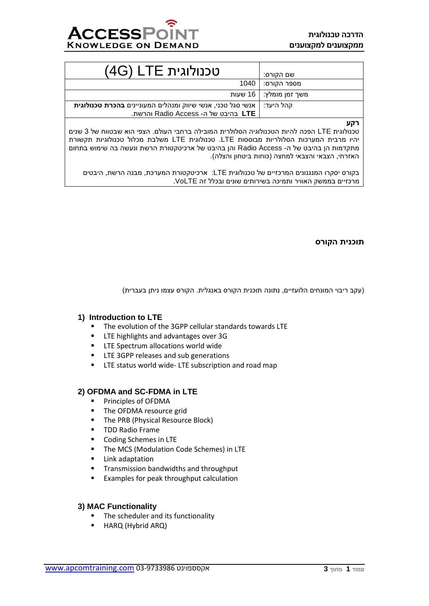

| טכנולוגית LTE (4G)                                                                                                     | שם הקורס:                |
|------------------------------------------------------------------------------------------------------------------------|--------------------------|
|                                                                                                                        | מספר הקורס:   1040       |
|                                                                                                                        | משך זמן מומלץ:   16 שעות |
| קהל היעד:   אנשי סגל טכני, אנשי שיווק ומנהלים המעוניינים <b>בהכרת טכנולוגית</b><br>ITE בהיבט של ה- Radio Access והרשת. |                          |

**רקע**

טכנולוגית LTE הפכה להיות הטכנולוגיה הסלולרית המובילה ברחבי העולם. הצפי הוא שבטווח של 3 שנים יהיו מרבית המערכות הסלולריות מבוססות LTE. טכנולוגית LTE משלבת מכלול טכנולוגיות תקשורת מתקדמות הן בהיבט של ה- Access Radio והן בהיבט של ארכיטקטורת הרשת ונעשה בה שימוש בתחום האזרחי, הצבאי והצבאי למחצה (כוחות ביטחון והצלה).

בקורס יסקרו המנגנונים המרכזיים של טכנולוגית LTE: ארכיטקטורת המערכת, מבנה הרשת, היבטים מרכזיים בממשק האוויר ותמיכה בשירותים שונים ובכלל זה VoLTE.

## **תוכנית הקורס**

)עקב ריבוי המונחים הלועזיים, נתונה תוכנית הקורס באנגלית. הקורס עצמו ניתן בעברית(

## **1) Introduction to LTE**

- The evolution of the 3GPP cellular standards towards LTE
- **■** LTE highlights and advantages over 3G
- **EXECTE Spectrum allocations world wide**
- **EXECTE 3GPP releases and sub generations**
- **EXECT:** LTE status world wide- LTE subscription and road map

## **2) OFDMA and SC-FDMA in LTE**

- Principles of OFDMA
- The OFDMA resource grid
- **The PRB (Physical Resource Block)**
- TDD Radio Frame
- Coding Schemes in LTE
- The MCS (Modulation Code Schemes) in LTE
- Link adaptation
- Transmission bandwidths and throughput
- Examples for peak throughput calculation

## **3) MAC Functionality**

- The scheduler and its functionality
- **HARQ (Hybrid ARQ)**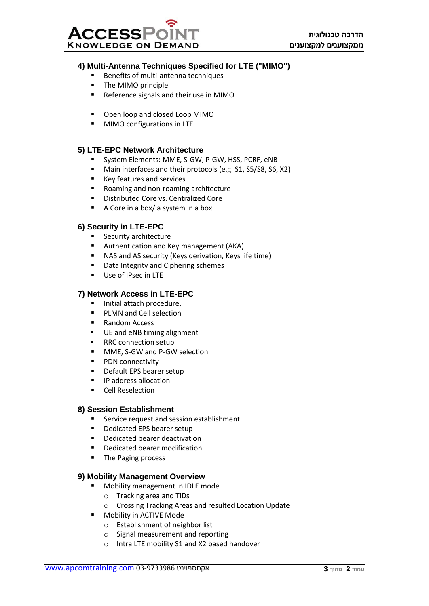

## **4) Multi-Antenna Techniques Specified for LTE ("MIMO")**

- Benefits of multi-antenna techniques
- The MIMO principle
- Reference signals and their use in MIMO
- Open loop and closed Loop MIMO
- **■** MIMO configurations in LTE

## **5) LTE-EPC Network Architecture**

- System Elements: MME, S-GW, P-GW, HSS, PCRF, eNB
- Main interfaces and their protocols (e.g. S1, S5/S8, S6, X2)
- Key features and services
- Roaming and non-roaming architecture
- Distributed Core vs. Centralized Core
- A Core in a box/ a system in a box

#### **6) Security in LTE-EPC**

- Security architecture
- Authentication and Key management (AKA)
- NAS and AS security (Keys derivation, Keys life time)
- Data Integrity and Ciphering schemes
- Use of IPsec in LTE

#### **7) Network Access in LTE-EPC**

- Initial attach procedure,
- PLMN and Cell selection
- Random Access
- UE and eNB timing alignment
- RRC connection setup
- MME, S-GW and P-GW selection
- PDN connectivity
- Default EPS bearer setup
- IP address allocation
- Cell Reselection

#### **8) Session Establishment**

- Service request and session establishment
- Dedicated EPS bearer setup
- Dedicated bearer deactivation
- Dedicated bearer modification
- The Paging process

## **9) Mobility Management Overview**

- Mobility management in IDLE mode
	- o Tracking area and TIDs
	- o Crossing Tracking Areas and resulted Location Update
- Mobility in ACTIVE Mode
	- o Establishment of neighbor list
	- o Signal measurement and reporting
	- o Intra LTE mobility S1 and X2 based handover